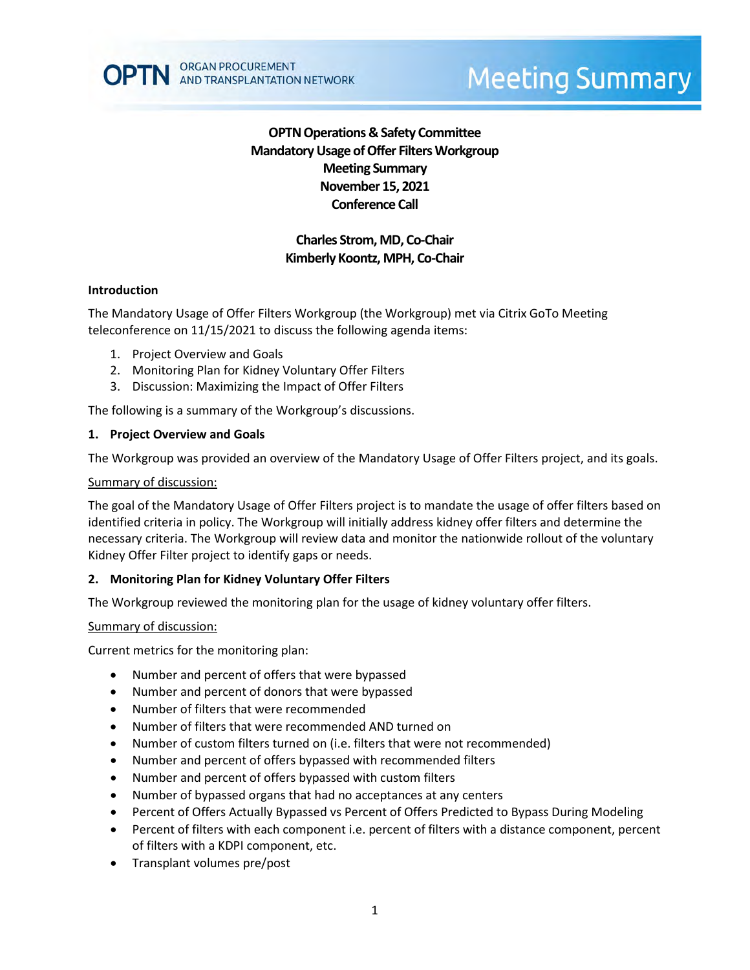

# **OPTN Operations & Safety Committee Mandatory Usage of Offer Filters Workgroup Meeting Summary November 15, 2021 Conference Call**

# **Charles Strom, MD, Co-Chair Kimberly Koontz, MPH, Co-Chair**

# **Introduction**

The Mandatory Usage of Offer Filters Workgroup (the Workgroup) met via Citrix GoTo Meeting teleconference on 11/15/2021 to discuss the following agenda items:

- 1. Project Overview and Goals
- 2. Monitoring Plan for Kidney Voluntary Offer Filters
- 3. Discussion: Maximizing the Impact of Offer Filters

The following is a summary of the Workgroup's discussions.

# **1. Project Overview and Goals**

The Workgroup was provided an overview of the Mandatory Usage of Offer Filters project, and its goals.

### Summary of discussion:

The goal of the Mandatory Usage of Offer Filters project is to mandate the usage of offer filters based on identified criteria in policy. The Workgroup will initially address kidney offer filters and determine the necessary criteria. The Workgroup will review data and monitor the nationwide rollout of the voluntary Kidney Offer Filter project to identify gaps or needs.

# **2. Monitoring Plan for Kidney Voluntary Offer Filters**

The Workgroup reviewed the monitoring plan for the usage of kidney voluntary offer filters.

#### Summary of discussion:

Current metrics for the monitoring plan:

- Number and percent of offers that were bypassed
- Number and percent of donors that were bypassed
- Number of filters that were recommended
- Number of filters that were recommended AND turned on
- Number of custom filters turned on (i.e. filters that were not recommended)
- Number and percent of offers bypassed with recommended filters
- Number and percent of offers bypassed with custom filters
- Number of bypassed organs that had no acceptances at any centers
- Percent of Offers Actually Bypassed vs Percent of Offers Predicted to Bypass During Modeling
- Percent of filters with each component i.e. percent of filters with a distance component, percent of filters with a KDPI component, etc.
- Transplant volumes pre/post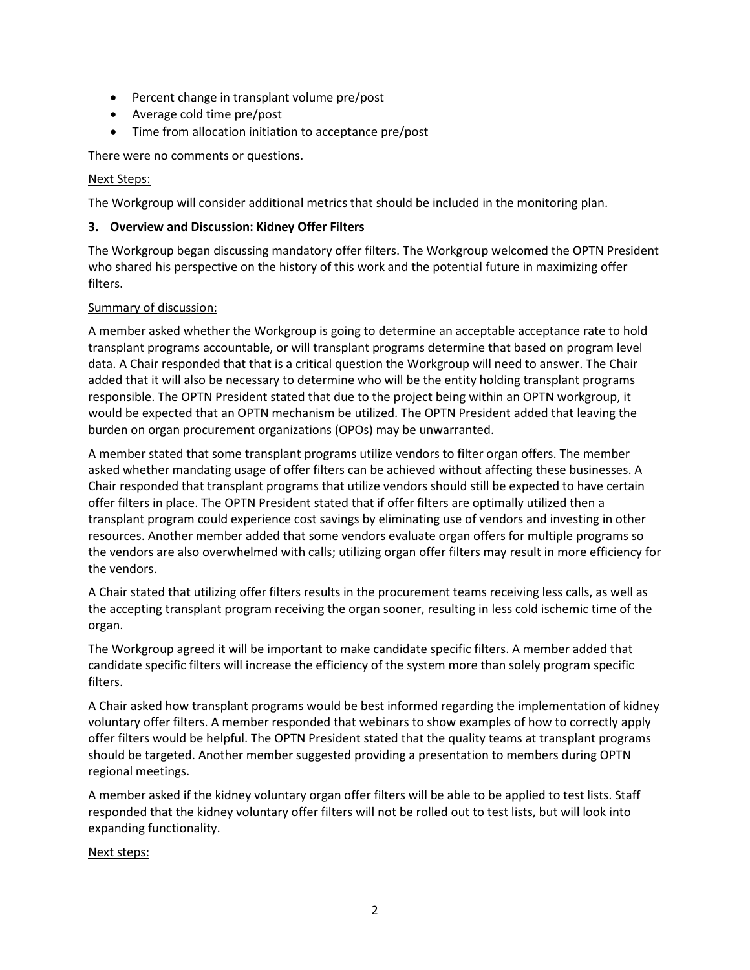- Percent change in transplant volume pre/post
- Average cold time pre/post
- Time from allocation initiation to acceptance pre/post

There were no comments or questions.

### Next Steps:

The Workgroup will consider additional metrics that should be included in the monitoring plan.

# **3. Overview and Discussion: Kidney Offer Filters**

The Workgroup began discussing mandatory offer filters. The Workgroup welcomed the OPTN President who shared his perspective on the history of this work and the potential future in maximizing offer filters.

# Summary of discussion:

A member asked whether the Workgroup is going to determine an acceptable acceptance rate to hold transplant programs accountable, or will transplant programs determine that based on program level data. A Chair responded that that is a critical question the Workgroup will need to answer. The Chair added that it will also be necessary to determine who will be the entity holding transplant programs responsible. The OPTN President stated that due to the project being within an OPTN workgroup, it would be expected that an OPTN mechanism be utilized. The OPTN President added that leaving the burden on organ procurement organizations (OPOs) may be unwarranted.

A member stated that some transplant programs utilize vendors to filter organ offers. The member asked whether mandating usage of offer filters can be achieved without affecting these businesses. A Chair responded that transplant programs that utilize vendors should still be expected to have certain offer filters in place. The OPTN President stated that if offer filters are optimally utilized then a transplant program could experience cost savings by eliminating use of vendors and investing in other resources. Another member added that some vendors evaluate organ offers for multiple programs so the vendors are also overwhelmed with calls; utilizing organ offer filters may result in more efficiency for the vendors.

A Chair stated that utilizing offer filters results in the procurement teams receiving less calls, as well as the accepting transplant program receiving the organ sooner, resulting in less cold ischemic time of the organ.

The Workgroup agreed it will be important to make candidate specific filters. A member added that candidate specific filters will increase the efficiency of the system more than solely program specific filters.

A Chair asked how transplant programs would be best informed regarding the implementation of kidney voluntary offer filters. A member responded that webinars to show examples of how to correctly apply offer filters would be helpful. The OPTN President stated that the quality teams at transplant programs should be targeted. Another member suggested providing a presentation to members during OPTN regional meetings.

A member asked if the kidney voluntary organ offer filters will be able to be applied to test lists. Staff responded that the kidney voluntary offer filters will not be rolled out to test lists, but will look into expanding functionality.

# Next steps: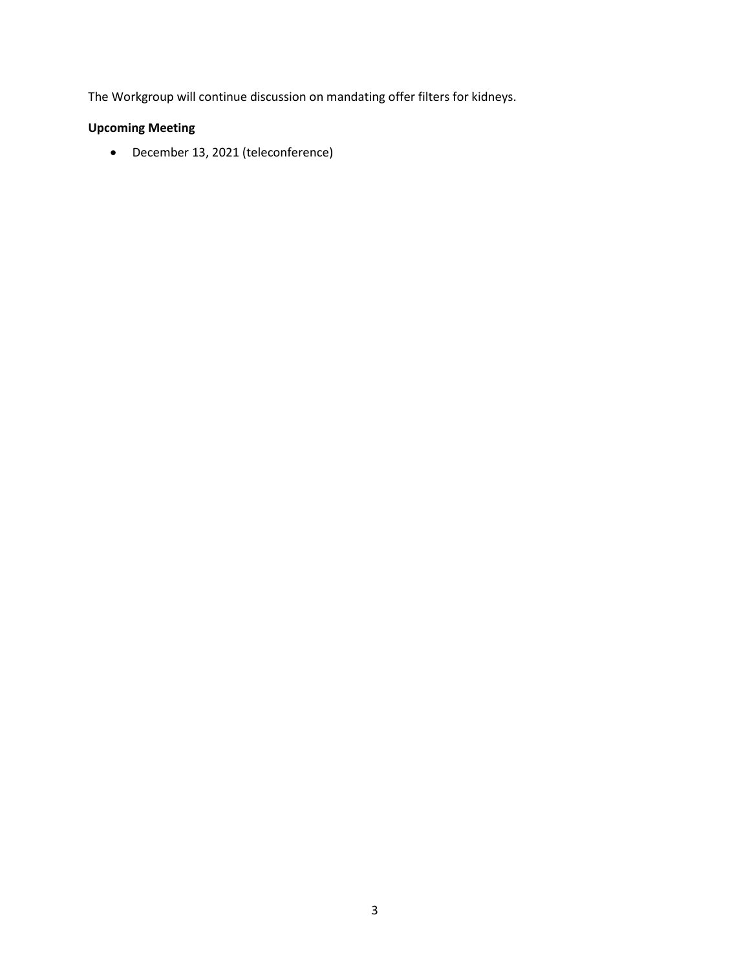The Workgroup will continue discussion on mandating offer filters for kidneys.

# **Upcoming Meeting**

• December 13, 2021 (teleconference)